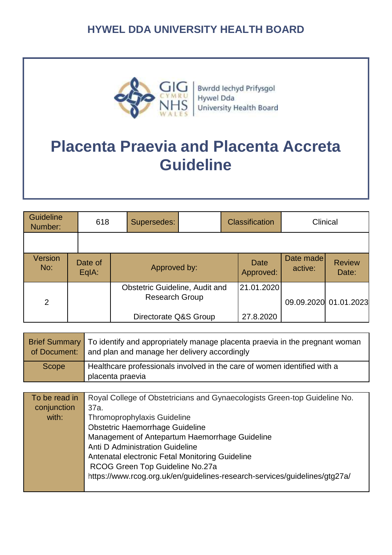

Bwrdd Iechyd Prifysgol Hywel Dda University Health Board

# **Placenta Praevia and Placenta Accreta Guideline**

| Guideline<br>Number:  |  | 618              | Supersedes:                                                    |  |            | <b>Classification</b>    |                       | Clinical               |
|-----------------------|--|------------------|----------------------------------------------------------------|--|------------|--------------------------|-----------------------|------------------------|
|                       |  |                  |                                                                |  |            |                          |                       |                        |
| <b>Version</b><br>No: |  | Date of<br>EqIA: | Approved by:                                                   |  |            | <b>Date</b><br>Approved: | Date made<br>active:  | <b>Review</b><br>Date: |
| $\overline{2}$        |  |                  | <b>Obstetric Guideline, Audit and</b><br><b>Research Group</b> |  | 21.01.2020 |                          | 09.09.2020 01.01.2023 |                        |
|                       |  |                  | Directorate Q&S Group                                          |  |            | 27.8.2020                |                       |                        |

|       | <b>Brief Summary</b> To identify and appropriately manage placenta praevia in the pregnant woman<br>of Document: and plan and manage her delivery accordingly |
|-------|---------------------------------------------------------------------------------------------------------------------------------------------------------------|
| Scope | Healthcare professionals involved in the care of women identified with a<br>placenta praevia                                                                  |

| To be read in | Royal College of Obstetricians and Gynaecologists Green-top Guideline No.  |
|---------------|----------------------------------------------------------------------------|
| conjunction   | 37a.                                                                       |
| with:         | Thromoprophylaxis Guideline                                                |
|               | <b>Obstetric Haemorrhage Guideline</b>                                     |
|               | Management of Antepartum Haemorrhage Guideline                             |
|               | Anti D Administration Guideline                                            |
|               | Antenatal electronic Fetal Monitoring Guideline                            |
|               | RCOG Green Top Guideline No.27a                                            |
|               | https://www.rcog.org.uk/en/guidelines-research-services/guidelines/gtg27a/ |
|               |                                                                            |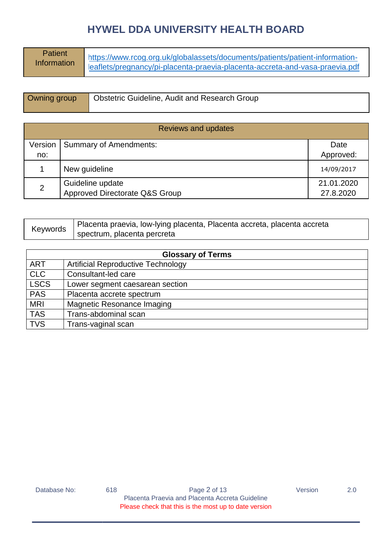| <b>Patient</b> | https://www.rcog.org.uk/globalassets/documents/patients/patient-information- |
|----------------|------------------------------------------------------------------------------|
| Information    | leaflets/pregnancy/pi-placenta-praevia-placenta-accreta-and-vasa-praevia.pdf |

| Owning group | <b>Obstetric Guideline, Audit and Research Group</b> |
|--------------|------------------------------------------------------|

|         | Reviews and updates            |            |  |  |  |
|---------|--------------------------------|------------|--|--|--|
| Version | <b>Summary of Amendments:</b>  | Date       |  |  |  |
| no:     |                                | Approved:  |  |  |  |
|         | New guideline                  | 14/09/2017 |  |  |  |
| 2       | Guideline update               | 21.01.2020 |  |  |  |
|         | Approved Directorate Q&S Group | 27.8.2020  |  |  |  |

| Keywords | Placenta praevia, low-lying placenta, Placenta accreta, placenta accreta |
|----------|--------------------------------------------------------------------------|
|          | spectrum, placenta percreta                                              |

| <b>Glossary of Terms</b> |                                           |  |  |
|--------------------------|-------------------------------------------|--|--|
| <b>ART</b>               | <b>Artificial Reproductive Technology</b> |  |  |
| <b>CLC</b>               | Consultant-led care                       |  |  |
| <b>LSCS</b>              | Lower segment caesarean section           |  |  |
| <b>PAS</b>               | Placenta accrete spectrum                 |  |  |
| <b>MRI</b>               | <b>Magnetic Resonance Imaging</b>         |  |  |
| <b>TAS</b>               | Trans-abdominal scan                      |  |  |
| <b>TVS</b>               | Trans-vaginal scan                        |  |  |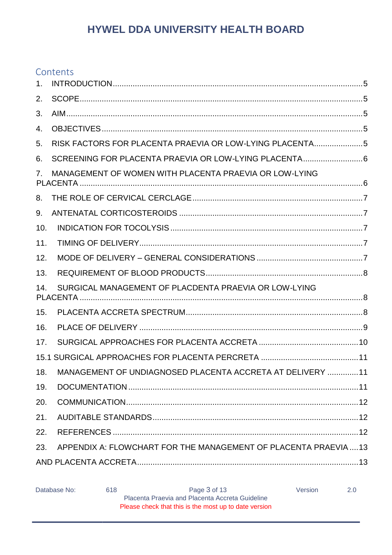### Contents

| 1.  |                                                                  |  |
|-----|------------------------------------------------------------------|--|
| 2.  |                                                                  |  |
| 3.  |                                                                  |  |
| 4.  |                                                                  |  |
| 5.  | RISK FACTORS FOR PLACENTA PRAEVIA OR LOW-LYING PLACENTA5         |  |
| 6.  | SCREENING FOR PLACENTA PRAEVIA OR LOW-LYING PLACENTA6            |  |
| 7.  | MANAGEMENT OF WOMEN WITH PLACENTA PRAEVIA OR LOW-LYING           |  |
| 8.  |                                                                  |  |
| 9.  |                                                                  |  |
| 10. |                                                                  |  |
| 11. |                                                                  |  |
| 12. |                                                                  |  |
| 13. |                                                                  |  |
| 14. | SURGICAL MANAGEMENT OF PLACDENTA PRAEVIA OR LOW-LYING            |  |
| 15. |                                                                  |  |
| 16. |                                                                  |  |
| 17. |                                                                  |  |
|     |                                                                  |  |
| 18. | MANAGEMENT OF UNDIAGNOSED PLACENTA ACCRETA AT DELIVERY 11        |  |
| 19. |                                                                  |  |
| 20. |                                                                  |  |
| 21. |                                                                  |  |
| 22. |                                                                  |  |
| 23. | APPENDIX A: FLOWCHART FOR THE MANAGEMENT OF PLACENTA PRAEVIA  13 |  |
|     |                                                                  |  |

| Database No: | 618 | Page 3 of 13                                          | Version | 2.0 |
|--------------|-----|-------------------------------------------------------|---------|-----|
|              |     | Placenta Praevia and Placenta Accreta Guideline       |         |     |
|              |     | Please check that this is the most up to date version |         |     |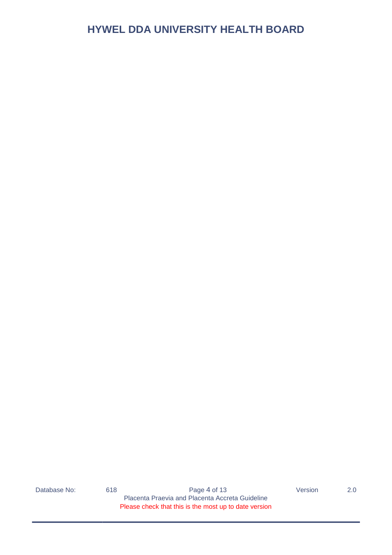Database No: 618 618 Page 4 of 13 Version 2.0 Placenta Praevia and Placenta Accreta Guideline Please check that this is the most up to date version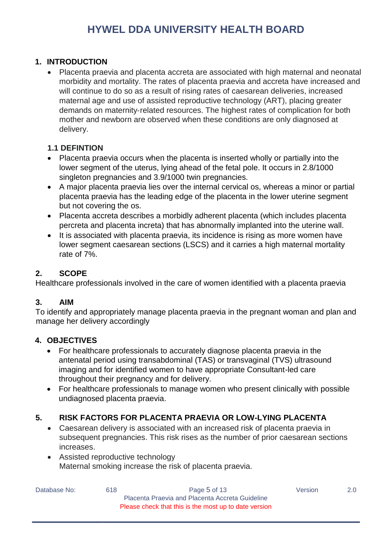#### <span id="page-4-0"></span>**1. INTRODUCTION**

 Placenta praevia and placenta accreta are associated with high maternal and neonatal morbidity and mortality. The rates of placenta praevia and accreta have increased and will continue to do so as a result of rising rates of caesarean deliveries, increased maternal age and use of assisted reproductive technology (ART), placing greater demands on maternity‐related resources. The highest rates of complication for both mother and newborn are observed when these conditions are only diagnosed at delivery.

#### **1.1 DEFINTION**

- Placenta praevia occurs when the placenta is inserted wholly or partially into the lower segment of the uterus, lying ahead of the fetal pole. It occurs in 2.8/1000 singleton pregnancies and 3.9/1000 twin pregnancies.
- A major placenta praevia lies over the internal cervical os, whereas a minor or partial placenta praevia has the leading edge of the placenta in the lower uterine segment but not covering the os.
- Placenta accreta describes a morbidly adherent placenta (which includes placenta percreta and placenta increta) that has abnormally implanted into the uterine wall.
- It is associated with placenta praevia, its incidence is rising as more women have lower segment caesarean sections (LSCS) and it carries a high maternal mortality rate of 7%.

#### <span id="page-4-1"></span>**2. SCOPE**

Healthcare professionals involved in the care of women identified with a placenta praevia

#### <span id="page-4-2"></span>**3. AIM**

To identify and appropriately manage placenta praevia in the pregnant woman and plan and manage her delivery accordingly

#### <span id="page-4-3"></span>**4. OBJECTIVES**

- For healthcare professionals to accurately diagnose placenta praevia in the antenatal period using transabdominal (TAS) or transvaginal (TVS) ultrasound imaging and for identified women to have appropriate Consultant-led care throughout their pregnancy and for delivery.
- For healthcare professionals to manage women who present clinically with possible undiagnosed placenta praevia.

#### <span id="page-4-4"></span>**5. RISK FACTORS FOR PLACENTA PRAEVIA OR LOW-LYING PLACENTA**

- Caesarean delivery is associated with an increased risk of placenta praevia in subsequent pregnancies. This risk rises as the number of prior caesarean sections increases.
- Assisted reproductive technology Maternal smoking increase the risk of placenta praevia.

| Database No: | 618                                             | Page 5 of 13                                          | Version | 2.0 |
|--------------|-------------------------------------------------|-------------------------------------------------------|---------|-----|
|              | Placenta Praevia and Placenta Accreta Guideline |                                                       |         |     |
|              |                                                 | Please check that this is the most up to date version |         |     |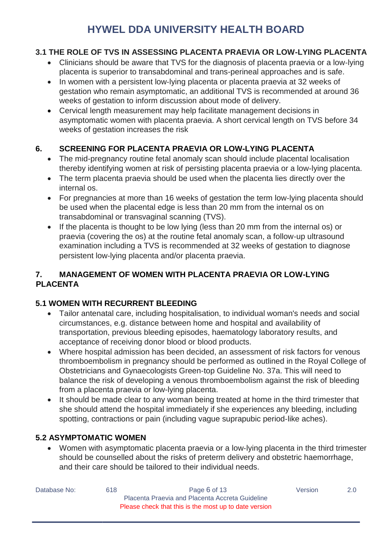#### **3.1 THE ROLE OF TVS IN ASSESSING PLACENTA PRAEVIA OR LOW-LYING PLACENTA**

- Clinicians should be aware that TVS for the diagnosis of placenta praevia or a low-lying placenta is superior to transabdominal and trans-perineal approaches and is safe.
- In women with a persistent low-lying placenta or placenta praevia at 32 weeks of gestation who remain asymptomatic, an additional TVS is recommended at around 36 weeks of gestation to inform discussion about mode of delivery.
- Cervical length measurement may help facilitate management decisions in asymptomatic women with placenta praevia. A short cervical length on TVS before 34 weeks of gestation increases the risk

#### <span id="page-5-0"></span>**6. SCREENING FOR PLACENTA PRAEVIA OR LOW-LYING PLACENTA**

- The mid-pregnancy routine fetal anomaly scan should include placental localisation thereby identifying women at risk of persisting placenta praevia or a low‐lying placenta.
- The term placenta praevia should be used when the placenta lies directly over the internal os.
- For pregnancies at more than 16 weeks of gestation the term low‐lying placenta should be used when the placental edge is less than 20 mm from the internal os on transabdominal or transvaginal scanning (TVS).
- If the placenta is thought to be low lying (less than 20 mm from the internal os) or praevia (covering the os) at the routine fetal anomaly scan, a follow‐up ultrasound examination including a TVS is recommended at 32 weeks of gestation to diagnose persistent low‐lying placenta and/or placenta praevia.

#### <span id="page-5-1"></span>**7. MANAGEMENT OF WOMEN WITH PLACENTA PRAEVIA OR LOW-LYING PLACENTA**

#### **5.1 WOMEN WITH RECURRENT BLEEDING**

- Tailor antenatal care, including hospitalisation, to individual woman's needs and social circumstances, e.g. distance between home and hospital and availability of transportation, previous bleeding episodes, haematology laboratory results, and acceptance of receiving donor blood or blood products.
- Where hospital admission has been decided, an assessment of risk factors for venous thromboembolism in pregnancy should be performed as outlined in the Royal College of Obstetricians and Gynaecologists Green‐top Guideline No. 37a. This will need to balance the risk of developing a venous thromboembolism against the risk of bleeding from a placenta praevia or low-lying placenta.
- It should be made clear to any woman being treated at home in the third trimester that she should attend the hospital immediately if she experiences any bleeding, including spotting, contractions or pain (including vague suprapubic period-like aches).

#### **5.2 ASYMPTOMATIC WOMEN**

 Women with asymptomatic placenta praevia or a low‐lying placenta in the third trimester should be counselled about the risks of preterm delivery and obstetric haemorrhage, and their care should be tailored to their individual needs.

| Database No: | 618 | Page 6 of 13                                          | Version | 2.0 |
|--------------|-----|-------------------------------------------------------|---------|-----|
|              |     | Placenta Praevia and Placenta Accreta Guideline       |         |     |
|              |     | Please check that this is the most up to date version |         |     |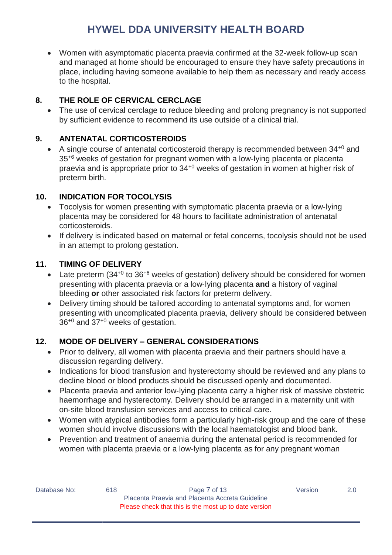Women with asymptomatic placenta praevia confirmed at the 32‐week follow‐up scan and managed at home should be encouraged to ensure they have safety precautions in place, including having someone available to help them as necessary and ready access to the hospital.

#### <span id="page-6-0"></span>**8. THE ROLE OF CERVICAL CERCLAGE**

• The use of cervical cerclage to reduce bleeding and prolong pregnancy is not supported by sufficient evidence to recommend its use outside of a clinical trial.

#### <span id="page-6-1"></span>**9. ANTENATAL CORTICOSTEROIDS**

 A single course of antenatal corticosteroid therapy is recommended between 34+0 and 35+6 weeks of gestation for pregnant women with a low‐lying placenta or placenta praevia and is appropriate prior to 34+0 weeks of gestation in women at higher risk of preterm birth.

#### <span id="page-6-2"></span>**10. INDICATION FOR TOCOLYSIS**

- Tocolysis for women presenting with symptomatic placenta praevia or a low‐lying placenta may be considered for 48 hours to facilitate administration of antenatal corticosteroids.
- If delivery is indicated based on maternal or fetal concerns, tocolysis should not be used in an attempt to prolong gestation.

#### <span id="page-6-3"></span>**11. TIMING OF DELIVERY**

- Late preterm  $(34^{+0}$  to  $36^{+6}$  weeks of gestation) delivery should be considered for women presenting with placenta praevia or a low‐lying placenta **and** a history of vaginal bleeding **or** other associated risk factors for preterm delivery.
- Delivery timing should be tailored according to antenatal symptoms and, for women presenting with uncomplicated placenta praevia, delivery should be considered between 36+0 and 37+0 weeks of gestation.

#### <span id="page-6-4"></span>**12. MODE OF DELIVERY – GENERAL CONSIDERATIONS**

- Prior to delivery, all women with placenta praevia and their partners should have a discussion regarding delivery.
- Indications for blood transfusion and hysterectomy should be reviewed and any plans to decline blood or blood products should be discussed openly and documented.
- Placenta praevia and anterior low-lying placenta carry a higher risk of massive obstetric haemorrhage and hysterectomy. Delivery should be arranged in a maternity unit with on‐site blood transfusion services and access to critical care.
- Women with atypical antibodies form a particularly high‐risk group and the care of these women should involve discussions with the local haematologist and blood bank.
- Prevention and treatment of anaemia during the antenatal period is recommended for women with placenta praevia or a low-lying placenta as for any pregnant woman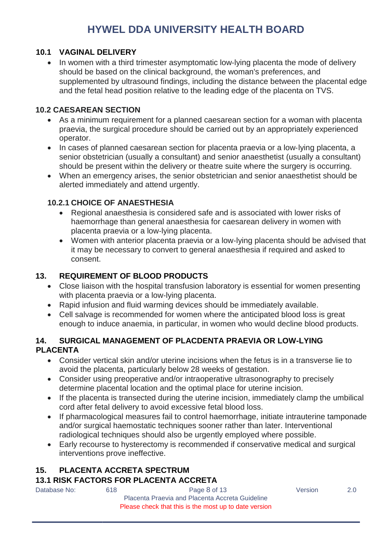#### **10.1 VAGINAL DELIVERY**

• In women with a third trimester asymptomatic low-lying placenta the mode of delivery should be based on the clinical background, the woman's preferences, and supplemented by ultrasound findings, including the distance between the placental edge and the fetal head position relative to the leading edge of the placenta on TVS.

#### **10.2 CAESAREAN SECTION**

- As a minimum requirement for a planned caesarean section for a woman with placenta praevia, the surgical procedure should be carried out by an appropriately experienced operator.
- In cases of planned caesarean section for placenta praevia or a low-lying placenta, a senior obstetrician (usually a consultant) and senior anaesthetist (usually a consultant) should be present within the delivery or theatre suite where the surgery is occurring.
- When an emergency arises, the senior obstetrician and senior anaesthetist should be alerted immediately and attend urgently.

#### **10.2.1 CHOICE OF ANAESTHESIA**

- Regional anaesthesia is considered safe and is associated with lower risks of haemorrhage than general anaesthesia for caesarean delivery in women with placenta praevia or a low‐lying placenta.
- Women with anterior placenta praevia or a low-lying placenta should be advised that it may be necessary to convert to general anaesthesia if required and asked to consent.

#### <span id="page-7-0"></span>**13. REQUIREMENT OF BLOOD PRODUCTS**

- Close liaison with the hospital transfusion laboratory is essential for women presenting with placenta praevia or a low-lying placenta.
- Rapid infusion and fluid warming devices should be immediately available.
- Cell salvage is recommended for women where the anticipated blood loss is great enough to induce anaemia, in particular, in women who would decline blood products.

#### <span id="page-7-1"></span>**14. SURGICAL MANAGEMENT OF PLACDENTA PRAEVIA OR LOW-LYING PLACENTA**

- Consider vertical skin and/or uterine incisions when the fetus is in a transverse lie to avoid the placenta, particularly below 28 weeks of gestation.
- Consider using preoperative and/or intraoperative ultrasonography to precisely determine placental location and the optimal place for uterine incision.
- If the placenta is transected during the uterine incision, immediately clamp the umbilical cord after fetal delivery to avoid excessive fetal blood loss.
- If pharmacological measures fail to control haemorrhage, initiate intrauterine tamponade and/or surgical haemostatic techniques sooner rather than later. Interventional radiological techniques should also be urgently employed where possible.
- Early recourse to hysterectomy is recommended if conservative medical and surgical interventions prove ineffective.

#### <span id="page-7-2"></span>**15. PLACENTA ACCRETA SPECTRUM**

#### **13.1 RISK FACTORS FOR PLACENTA ACCRETA**

| Database No: | 618                                                   | Page 8 of 13                                    | Version | 2.0 |
|--------------|-------------------------------------------------------|-------------------------------------------------|---------|-----|
|              |                                                       | Placenta Praevia and Placenta Accreta Guideline |         |     |
|              | Please check that this is the most up to date version |                                                 |         |     |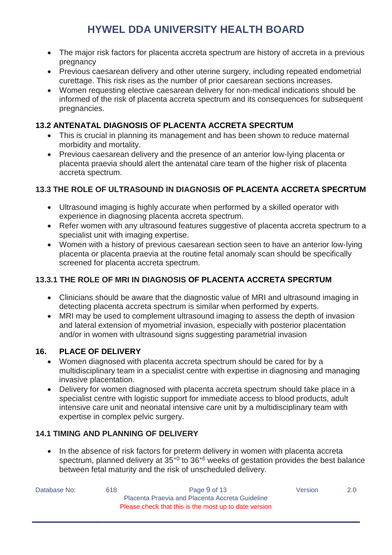- The major risk factors for placenta accreta spectrum are history of accreta in a previous pregnancy
- Previous caesarean delivery and other uterine surgery, including repeated endometrial curettage. This risk rises as the number of prior caesarean sections increases.
- Women requesting elective caesarean delivery for non‐medical indications should be informed of the risk of placenta accreta spectrum and its consequences for subsequent pregnancies.

#### **13.2 ANTENATAL DIAGNOSIS OF PLACENTA ACCRETA SPECRTUM**

- This is crucial in planning its management and has been shown to reduce maternal morbidity and mortality.
- Previous caesarean delivery and the presence of an anterior low‐lying placenta or placenta praevia should alert the antenatal care team of the higher risk of placenta accreta spectrum.

#### **13.3 THE ROLE OF ULTRASOUND IN DIAGNOSIS OF PLACENTA ACCRETA SPECRTUM**

- Ultrasound imaging is highly accurate when performed by a skilled operator with experience in diagnosing placenta accreta spectrum.
- Refer women with any ultrasound features suggestive of placenta accreta spectrum to a specialist unit with imaging expertise.
- Women with a history of previous caesarean section seen to have an anterior low-lying placenta or placenta praevia at the routine fetal anomaly scan should be specifically screened for placenta accreta spectrum.

#### **13.3.1 THE ROLE OF MRI IN DIAGNOSIS OF PLACENTA ACCRETA SPECRTUM**

- Clinicians should be aware that the diagnostic value of MRI and ultrasound imaging in detecting placenta accreta spectrum is similar when performed by experts.
- MRI may be used to complement ultrasound imaging to assess the depth of invasion and lateral extension of myometrial invasion, especially with posterior placentation and/or in women with ultrasound signs suggesting parametrial invasion

#### <span id="page-8-0"></span>**16. PLACE OF DELIVERY**

- Women diagnosed with placenta accreta spectrum should be cared for by a multidisciplinary team in a specialist centre with expertise in diagnosing and managing invasive placentation.
- Delivery for women diagnosed with placenta accreta spectrum should take place in a specialist centre with logistic support for immediate access to blood products, adult intensive care unit and neonatal intensive care unit by a multidisciplinary team with expertise in complex pelvic surgery.

#### **14.1 TIMING AND PLANNING OF DELIVERY**

• In the absence of risk factors for preterm delivery in women with placenta accreta spectrum, planned delivery at  $35^{+0}$  to  $36^{+6}$  weeks of gestation provides the best balance between fetal maturity and the risk of unscheduled delivery.

| Database No: | 618                                                   | Page 9 of 13                                    | Version | $2.0^{\circ}$ |
|--------------|-------------------------------------------------------|-------------------------------------------------|---------|---------------|
|              |                                                       | Placenta Praevia and Placenta Accreta Guideline |         |               |
|              | Please check that this is the most up to date version |                                                 |         |               |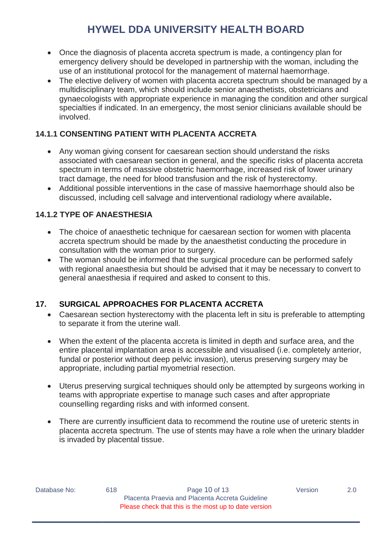- Once the diagnosis of placenta accreta spectrum is made, a contingency plan for emergency delivery should be developed in partnership with the woman, including the use of an institutional protocol for the management of maternal haemorrhage.
- The elective delivery of women with placenta accreta spectrum should be managed by a multidisciplinary team, which should include senior anaesthetists, obstetricians and gynaecologists with appropriate experience in managing the condition and other surgical specialties if indicated. In an emergency, the most senior clinicians available should be involved.

#### **14.1.1 CONSENTING PATIENT WITH PLACENTA ACCRETA**

- Any woman giving consent for caesarean section should understand the risks associated with caesarean section in general, and the specific risks of placenta accreta spectrum in terms of massive obstetric haemorrhage, increased risk of lower urinary tract damage, the need for blood transfusion and the risk of hysterectomy.
- Additional possible interventions in the case of massive haemorrhage should also be discussed, including cell salvage and interventional radiology where available**.**

#### **14.1.2 TYPE OF ANAESTHESIA**

- The choice of anaesthetic technique for caesarean section for women with placenta accreta spectrum should be made by the anaesthetist conducting the procedure in consultation with the woman prior to surgery.
- The woman should be informed that the surgical procedure can be performed safely with regional anaesthesia but should be advised that it may be necessary to convert to general anaesthesia if required and asked to consent to this.

#### <span id="page-9-0"></span>**17. SURGICAL APPROACHES FOR PLACENTA ACCRETA**

- Caesarean section hysterectomy with the placenta left in situ is preferable to attempting to separate it from the uterine wall.
- When the extent of the placenta accreta is limited in depth and surface area, and the entire placental implantation area is accessible and visualised (i.e. completely anterior, fundal or posterior without deep pelvic invasion), uterus preserving surgery may be appropriate, including partial myometrial resection.
- Uterus preserving surgical techniques should only be attempted by surgeons working in teams with appropriate expertise to manage such cases and after appropriate counselling regarding risks and with informed consent.
- There are currently insufficient data to recommend the routine use of ureteric stents in placenta accreta spectrum. The use of stents may have a role when the urinary bladder is invaded by placental tissue.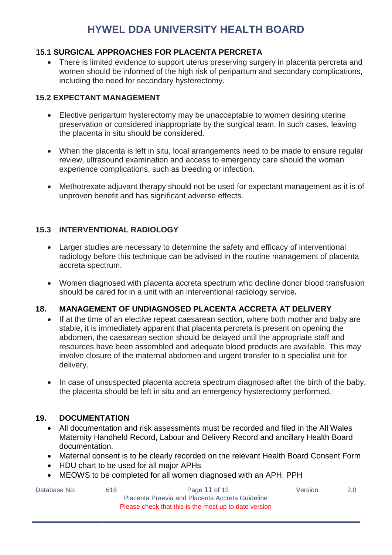#### <span id="page-10-0"></span>**15.1 SURGICAL APPROACHES FOR PLACENTA PERCRETA**

• There is limited evidence to support uterus preserving surgery in placenta percreta and women should be informed of the high risk of peripartum and secondary complications, including the need for secondary hysterectomy.

#### **15.2 EXPECTANT MANAGEMENT**

- Elective peripartum hysterectomy may be unacceptable to women desiring uterine preservation or considered inappropriate by the surgical team. In such cases, leaving the placenta in situ should be considered.
- When the placenta is left in situ, local arrangements need to be made to ensure regular review, ultrasound examination and access to emergency care should the woman experience complications, such as bleeding or infection.
- Methotrexate adjuvant therapy should not be used for expectant management as it is of unproven benefit and has significant adverse effects.

#### **15.3 INTERVENTIONAL RADIOLOGY**

- Larger studies are necessary to determine the safety and efficacy of interventional radiology before this technique can be advised in the routine management of placenta accreta spectrum.
- Women diagnosed with placenta accreta spectrum who decline donor blood transfusion should be cared for in a unit with an interventional radiology service**.**

#### <span id="page-10-1"></span>**18. MANAGEMENT OF UNDIAGNOSED PLACENTA ACCRETA AT DELIVERY**

- If at the time of an elective repeat caesarean section, where both mother and baby are stable, it is immediately apparent that placenta percreta is present on opening the abdomen, the caesarean section should be delayed until the appropriate staff and resources have been assembled and adequate blood products are available. This may involve closure of the maternal abdomen and urgent transfer to a specialist unit for delivery.
- In case of unsuspected placenta accreta spectrum diagnosed after the birth of the baby, the placenta should be left in situ and an emergency hysterectomy performed.

#### <span id="page-10-2"></span>**19. DOCUMENTATION**

- All documentation and risk assessments must be recorded and filed in the All Wales Maternity Handheld Record, Labour and Delivery Record and ancillary Health Board documentation.
- Maternal consent is to be clearly recorded on the relevant Health Board Consent Form
- HDU chart to be used for all major APHs
- MEOWS to be completed for all women diagnosed with an APH, PPH

| Database No: | 618 | Page 11 of 13                                         | Version | 2.0 <sub>2</sub> |
|--------------|-----|-------------------------------------------------------|---------|------------------|
|              |     | Placenta Praevia and Placenta Accreta Guideline       |         |                  |
|              |     | Please check that this is the most up to date version |         |                  |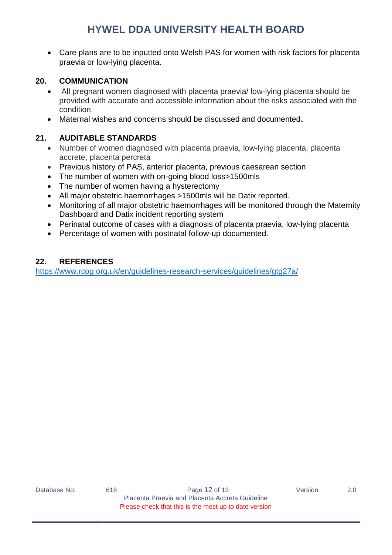Care plans are to be inputted onto Welsh PAS for women with risk factors for placenta praevia or low-lying placenta.

#### <span id="page-11-0"></span>**20. COMMUNICATION**

- All pregnant women diagnosed with placenta praevia/ low-lying placenta should be provided with accurate and accessible information about the risks associated with the condition.
- Maternal wishes and concerns should be discussed and documented**.**

#### <span id="page-11-1"></span>**21. AUDITABLE STANDARDS**

- Number of women diagnosed with placenta praevia, low-lying placenta, placenta accrete, placenta percreta
- Previous history of PAS, anterior placenta, previous caesarean section
- The number of women with on-going blood loss>1500mls
- The number of women having a hysterectomy
- All major obstetric haemorrhages >1500mls will be Datix reported.
- Monitoring of all major obstetric haemorrhages will be monitored through the Maternity Dashboard and Datix incident reporting system
- Perinatal outcome of cases with a diagnosis of placenta praevia, low-lying placenta
- Percentage of women with postnatal follow-up documented.

#### <span id="page-11-2"></span>**22. REFERENCES**

<https://www.rcog.org.uk/en/guidelines-research-services/guidelines/gtg27a/>